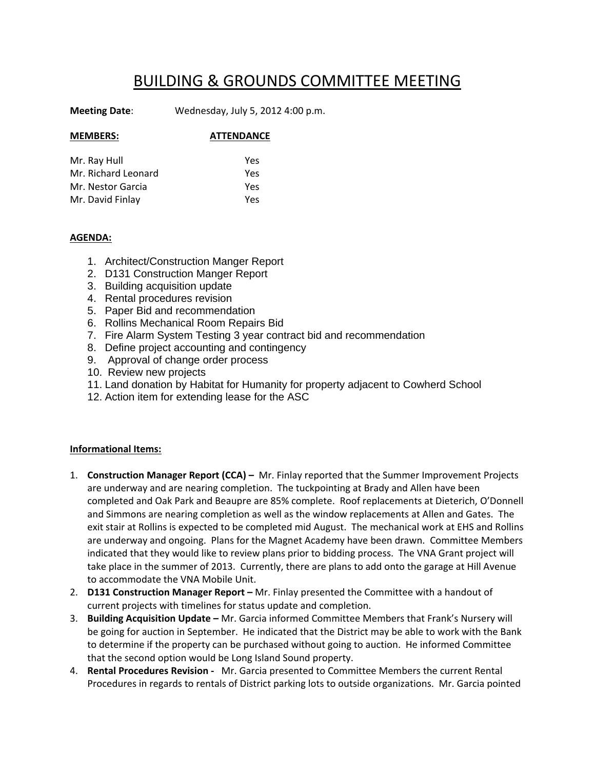## BUILDING & GROUNDS COMMITTEE MEETING

**Meeting Date**: Wednesday, July 5, 2012 4:00 p.m.

| <b>MEMBERS:</b>     | <b>ATTENDANCE</b> |  |
|---------------------|-------------------|--|
|                     |                   |  |
| Mr. Ray Hull        | Yes               |  |
| Mr. Richard Leonard | Yes               |  |
| Mr. Nestor Garcia   | Yes               |  |
| Mr. David Finlay    | Yes               |  |

## **AGENDA:**

- 1. Architect/Construction Manger Report
- 2. D131 Construction Manger Report
- 3. Building acquisition update
- 4. Rental procedures revision
- 5. Paper Bid and recommendation
- 6. Rollins Mechanical Room Repairs Bid
- 7. Fire Alarm System Testing 3 year contract bid and recommendation
- 8. Define project accounting and contingency
- 9. Approval of change order process
- 10. Review new projects
- 11. Land donation by Habitat for Humanity for property adjacent to Cowherd School
- 12. Action item for extending lease for the ASC

## **Informational Items:**

- 1. **Construction Manager Report (CCA) –** Mr. Finlay reported that the Summer Improvement Projects are underway and are nearing completion. The tuckpointing at Brady and Allen have been completed and Oak Park and Beaupre are 85% complete. Roof replacements at Dieterich, O'Donnell and Simmons are nearing completion as well as the window replacements at Allen and Gates. The exit stair at Rollins is expected to be completed mid August. The mechanical work at EHS and Rollins are underway and ongoing. Plans for the Magnet Academy have been drawn. Committee Members indicated that they would like to review plans prior to bidding process. The VNA Grant project will take place in the summer of 2013. Currently, there are plans to add onto the garage at Hill Avenue to accommodate the VNA Mobile Unit.
- 2. **D131 Construction Manager Report –** Mr. Finlay presented the Committee with a handout of current projects with timelines for status update and completion.
- 3. **Building Acquisition Update –** Mr. Garcia informed Committee Members that Frank's Nursery will be going for auction in September. He indicated that the District may be able to work with the Bank to determine if the property can be purchased without going to auction. He informed Committee that the second option would be Long Island Sound property.
- 4. **Rental Procedures Revision ‐** Mr. Garcia presented to Committee Members the current Rental Procedures in regards to rentals of District parking lots to outside organizations. Mr. Garcia pointed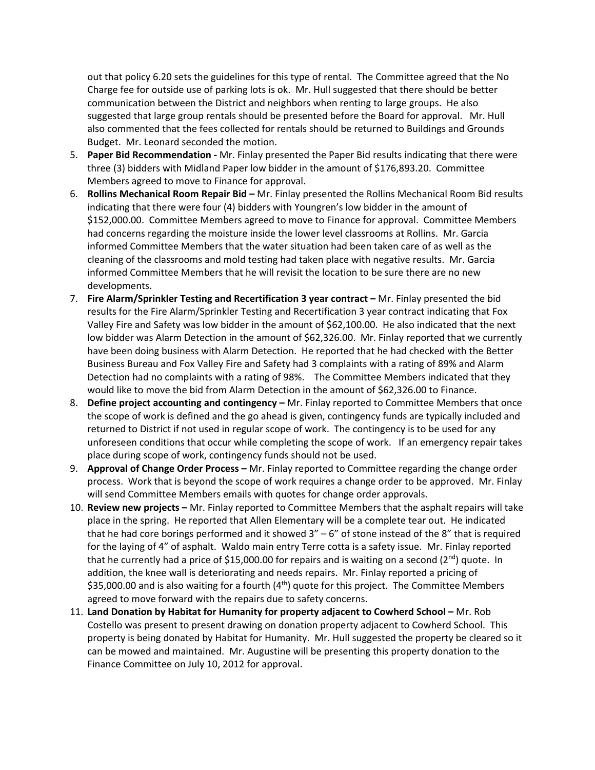out that policy 6.20 sets the guidelines for this type of rental. The Committee agreed that the No Charge fee for outside use of parking lots is ok. Mr. Hull suggested that there should be better communication between the District and neighbors when renting to large groups. He also suggested that large group rentals should be presented before the Board for approval. Mr. Hull also commented that the fees collected for rentals should be returned to Buildings and Grounds Budget. Mr. Leonard seconded the motion.

- 5. **Paper Bid Recommendation ‐** Mr. Finlay presented the Paper Bid results indicating that there were three (3) bidders with Midland Paper low bidder in the amount of \$176,893.20. Committee Members agreed to move to Finance for approval.
- 6. **Rollins Mechanical Room Repair Bid –** Mr. Finlay presented the Rollins Mechanical Room Bid results indicating that there were four (4) bidders with Youngren's low bidder in the amount of \$152,000.00. Committee Members agreed to move to Finance for approval. Committee Members had concerns regarding the moisture inside the lower level classrooms at Rollins. Mr. Garcia informed Committee Members that the water situation had been taken care of as well as the cleaning of the classrooms and mold testing had taken place with negative results. Mr. Garcia informed Committee Members that he will revisit the location to be sure there are no new developments.
- 7. **Fire Alarm/Sprinkler Testing and Recertification 3 year contract –** Mr. Finlay presented the bid results for the Fire Alarm/Sprinkler Testing and Recertification 3 year contract indicating that Fox Valley Fire and Safety was low bidder in the amount of \$62,100.00. He also indicated that the next low bidder was Alarm Detection in the amount of \$62,326.00. Mr. Finlay reported that we currently have been doing business with Alarm Detection. He reported that he had checked with the Better Business Bureau and Fox Valley Fire and Safety had 3 complaints with a rating of 89% and Alarm Detection had no complaints with a rating of 98%. The Committee Members indicated that they would like to move the bid from Alarm Detection in the amount of \$62,326.00 to Finance.
- 8. **Define project accounting and contingency –** Mr. Finlay reported to Committee Members that once the scope of work is defined and the go ahead is given, contingency funds are typically included and returned to District if not used in regular scope of work. The contingency is to be used for any unforeseen conditions that occur while completing the scope of work. If an emergency repair takes place during scope of work, contingency funds should not be used.
- 9. **Approval of Change Order Process –** Mr. Finlay reported to Committee regarding the change order process. Work that is beyond the scope of work requires a change order to be approved. Mr. Finlay will send Committee Members emails with quotes for change order approvals.
- 10. **Review new projects –** Mr. Finlay reported to Committee Members that the asphalt repairs will take place in the spring. He reported that Allen Elementary will be a complete tear out. He indicated that he had core borings performed and it showed  $3'' - 6''$  of stone instead of the  $8''$  that is required for the laying of 4" of asphalt. Waldo main entry Terre cotta is a safety issue. Mr. Finlay reported that he currently had a price of \$15,000.00 for repairs and is waiting on a second ( $2^{nd}$ ) quote. In addition, the knee wall is deteriorating and needs repairs. Mr. Finlay reported a pricing of \$35,000.00 and is also waiting for a fourth  $(4<sup>th</sup>)$  quote for this project. The Committee Members agreed to move forward with the repairs due to safety concerns.
- 11. **Land Donation by Habitat for Humanity for property adjacent to Cowherd School –** Mr. Rob Costello was present to present drawing on donation property adjacent to Cowherd School. This property is being donated by Habitat for Humanity. Mr. Hull suggested the property be cleared so it can be mowed and maintained. Mr. Augustine will be presenting this property donation to the Finance Committee on July 10, 2012 for approval.